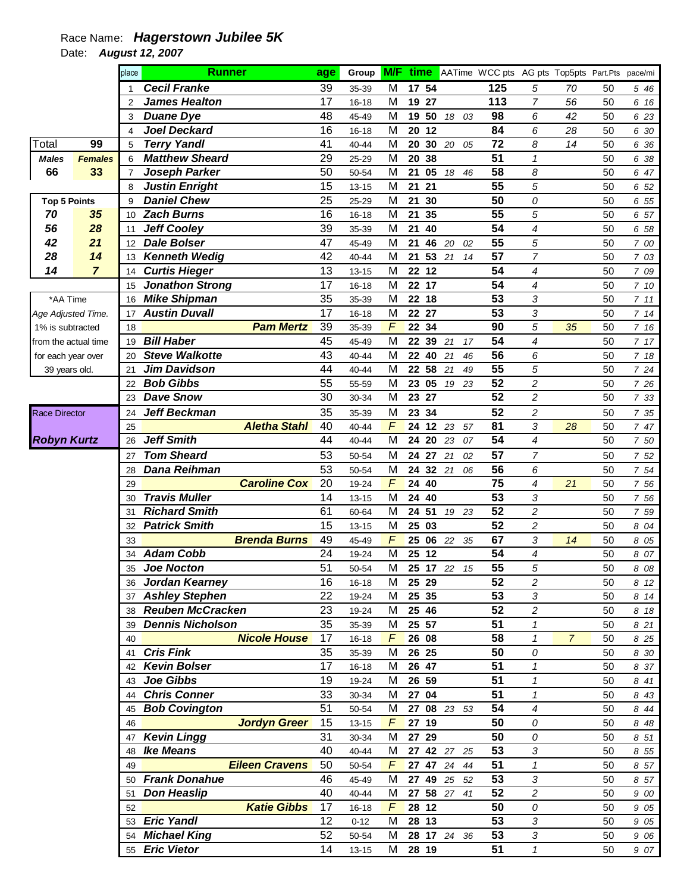## Race Name: **Hagerstown Jubilee 5K**

Date: **August 12, 2007** 

|                      |                | place          | <b>Runner</b>           | age | Group     | <b>M/F</b> |       |       |                  | time AATime WCC pts AG pts Top5pts Part.Pts |                          |                |    | pace/mi |
|----------------------|----------------|----------------|-------------------------|-----|-----------|------------|-------|-------|------------------|---------------------------------------------|--------------------------|----------------|----|---------|
|                      |                |                | <b>Cecil Franke</b>     | 39  | 35-39     | M          |       | 17 54 |                  | 125                                         | 5                        | 70             | 50 | 5 46    |
|                      |                | $\overline{2}$ | <b>James Healton</b>    | 17  | 16-18     | M          | 19    | 27    |                  | 113                                         | $\overline{7}$           | 56             | 50 | 6 16    |
|                      |                | 3              | <b>Duane Dye</b>        | 48  | 45-49     | M          |       | 19 50 | 18 03            | 98                                          | 6                        | 42             | 50 | 6 23    |
|                      |                | 4              | <b>Joel Deckard</b>     | 16  | $16 - 18$ | M          | 20    | 12    |                  | 84                                          | 6                        | 28             | 50 | 6 30    |
| Total                | 99             | 5              | <b>Terry Yandl</b>      | 41  | 40-44     | M          | 20    |       | 30 20 05         | 72                                          | 8                        | 14             | 50 | 6 36    |
| <b>Males</b>         | <b>Females</b> | 6              | <b>Matthew Sheard</b>   | 29  | 25-29     | M          | 20    | 38    |                  | 51                                          | $\mathbf{1}$             |                | 50 | 6 38    |
| 66                   | 33             | $\overline{7}$ | Joseph Parker           | 50  | 50-54     | M          | 21    | 05    | 18<br>46         | 58                                          | 8                        |                | 50 | 6 47    |
|                      |                | 8              | <b>Justin Enright</b>   | 15  | $13 - 15$ | M          | 21    | 21    |                  | 55                                          | 5                        |                | 50 | 6 52    |
| <b>Top 5 Points</b>  |                | 9              | <b>Daniel Chew</b>      | 25  | 25-29     | M          | 21    | 30    |                  | 50                                          | 0                        |                | 50 | 6 55    |
| 70                   | 35             | 10             | <b>Zach Burns</b>       | 16  | $16 - 18$ | M          | 21    | 35    |                  | 55                                          | 5                        |                | 50 | 6 57    |
| 56                   | 28             | 11             | <b>Jeff Cooley</b>      | 39  | 35-39     | M          | 21    | 40    |                  | 54                                          | 4                        |                | 50 | 6 58    |
| 42                   | 21             | 12             | <b>Dale Bolser</b>      | 47  | 45-49     | M          | 21    | 46    | 20<br>02         | 55                                          | 5                        |                | 50 | 7 00    |
| 28                   | 14             | 13             | <b>Kenneth Wedig</b>    | 42  | 40-44     | M          | 21    |       | 53 21<br>14      | 57                                          | $\overline{7}$           |                | 50 | 7 03    |
| 14                   | $\overline{7}$ | 14             | <b>Curtis Hieger</b>    | 13  | $13 - 15$ | M          | 22    | 12    |                  | 54                                          | $\overline{\mathcal{A}}$ |                | 50 | 7 09    |
|                      |                | 15             | <b>Jonathon Strong</b>  | 17  | 16-18     | M          | 22    | 17    |                  | 54                                          | 4                        |                | 50 | 7 10    |
| *AA Time             |                | 16             | <b>Mike Shipman</b>     | 35  | 35-39     | M          |       | 22 18 |                  | 53                                          | 3                        |                | 50 | 711     |
| Age Adjusted Time.   |                | 17             | <b>Austin Duvall</b>    | 17  | 16-18     | M          |       | 22 27 |                  | 53                                          | 3                        |                | 50 | 714     |
| 1% is subtracted     |                | 18             | <b>Pam Mertz</b>        | 39  | 35-39     | $\sqrt{2}$ | 22 34 |       |                  | 90                                          | 5                        | 35             | 50 | 7 16    |
| from the actual time |                | 19             | <b>Bill Haber</b>       | 45  | 45-49     | M          | 22    | 39    | 21<br>17         | 54                                          | 4                        |                | 50 | 7 17    |
| for each year over   |                | 20             | <b>Steve Walkotte</b>   | 43  | 40-44     | M          | 22    | 40    | 21<br>46         | 56                                          | 6                        |                | 50 | 7 18    |
| 39 years old.        |                | 21             | <b>Jim Davidson</b>     | 44  | 40-44     | M          |       | 22 58 | 21<br>49         | 55                                          | 5                        |                | 50 | 7 24    |
|                      |                | 22             | <b>Bob Gibbs</b>        | 55  | 55-59     | M          | 23    | 05    | 19 23            | 52                                          | $\overline{c}$           |                | 50 | 7 26    |
|                      |                | 23             | <b>Dave Snow</b>        | 30  | 30-34     | M          | 23    | 27    |                  | $\overline{52}$                             | $\overline{c}$           |                | 50 | 7 33    |
| <b>Race Director</b> |                | 24             | <b>Jeff Beckman</b>     | 35  | 35-39     | M          | 23    | 34    |                  | 52                                          | 2                        |                | 50 | 7 35    |
|                      |                | 25             | <b>Aletha Stahl</b>     | 40  | 40-44     | F          | 24    |       | 12 23 57         | 81                                          | 3                        | 28             | 50 | 7 47    |
| <b>Robyn Kurtz</b>   |                | 26             | <b>Jeff Smith</b>       | 44  | 40-44     | M          | 24    | 20    | 23<br>07         | 54                                          | $\overline{\mathcal{A}}$ |                | 50 | 7 50    |
|                      |                | 27             | <b>Tom Sheard</b>       | 53  | 50-54     | M          |       | 24 27 | 21<br>02         | 57                                          | $\overline{7}$           |                | 50 | 7 52    |
|                      |                | 28             | <b>Dana Reihman</b>     | 53  | 50-54     | M          | 24    |       | 32 21<br>06      | 56                                          | 6                        |                | 50 | 7 54    |
|                      |                | 29             | <b>Caroline Cox</b>     | 20  | 19-24     | F          | 24    | 40    |                  | 75                                          | 4                        | 21             | 50 | 7 56    |
|                      |                | 30             | <b>Travis Muller</b>    | 14  | $13 - 15$ | M          | 24    | 40    |                  | 53                                          | 3                        |                | 50 | 7 56    |
|                      |                | 31             | <b>Richard Smith</b>    | 61  | 60-64     | M          | 24    | 51    | 19 23            | 52                                          | $\overline{c}$           |                | 50 | 7 59    |
|                      |                | 32             | <b>Patrick Smith</b>    | 15  | $13 - 15$ | M          | 25    | 03    |                  | 52                                          | 2                        |                | 50 | 8 04    |
|                      |                | 33             | <b>Brenda Burns</b>     | 49  | 45-49     | F          | 25    |       | 06 22 35         | 67                                          | 3                        | 14             | 50 | 8 0 5   |
|                      |                | 34             | <b>Adam Cobb</b>        | 24  | 19-24     | M          | 25    | 12    |                  | 54                                          | 4                        |                | 50 | 8 07    |
|                      |                | 35             | <b>Joe Nocton</b>       | 51  | 50-54     | M          |       |       | 25 17 22<br>- 15 | 55                                          | 5                        |                | 50 | 8 08    |
|                      |                | 36             | Jordan Kearney          | 16  | 16-18     | M          |       | 25 29 |                  | 52                                          | 2                        |                | 50 | 8 12    |
|                      |                |                | 37 Ashley Stephen       | 22  | 19-24     | M          |       | 25 35 |                  | 53                                          | 3                        |                | 50 | 8 14    |
|                      |                |                | 38 Reuben McCracken     | 23  | 19-24     | м          |       | 25 46 |                  | 52                                          | $\overline{c}$           |                | 50 | 8 18    |
|                      |                | 39             | <b>Dennis Nicholson</b> | 35  | 35-39     | м          |       | 25 57 |                  | 51                                          | 1                        |                | 50 | 8 21    |
|                      |                | 40             | <b>Nicole House</b>     | 17  | 16-18     | $\sqrt{F}$ |       | 26 08 |                  | 58                                          | $\mathbf{1}$             | $\overline{7}$ | 50 | 8 25    |
|                      |                | 41             | <b>Cris Fink</b>        | 35  | 35-39     | M          |       | 26 25 |                  | 50                                          | 0                        |                | 50 | 8 30    |
|                      |                | 42             | <b>Kevin Bolser</b>     | 17  | 16-18     | M          |       | 26 47 |                  | 51                                          | $\mathbf{1}$             |                | 50 | 8 37    |
|                      |                |                | 43 Joe Gibbs            | 19  | 19-24     | M          |       | 26 59 |                  | 51                                          | $\mathbf{1}$             |                | 50 | 8 41    |
|                      |                | 44             | <b>Chris Conner</b>     | 33  | 30-34     | M          |       | 27 04 |                  | 51                                          | $\mathbf{1}$             |                | 50 | 8 43    |
|                      |                | 45             | <b>Bob Covington</b>    | 51  | 50-54     | M          |       |       | 27 08 23 53      | 54                                          | 4                        |                | 50 | 8 4 4   |
|                      |                | 46             | <b>Jordyn Greer</b>     | 15  | $13 - 15$ | F          |       | 27 19 |                  | 50                                          | 0                        |                | 50 | 8 4 8   |
|                      |                | 47             | <b>Kevin Lingg</b>      | 31  | 30-34     | M          |       | 27 29 |                  | 50                                          | 0                        |                | 50 | 8 51    |
|                      |                | 48             | <b>Ike Means</b>        | 40  | 40-44     | м          | 27    |       | 42 27 25         | 53                                          | 3                        |                | 50 | 8 55    |
|                      |                | 49             | <b>Eileen Cravens</b>   | 50  | 50-54     | F          |       |       | 27 47 24 44      | 51                                          | $\pmb{\mathcal{1}}$      |                | 50 | 8 57    |
|                      |                | 50             | <b>Frank Donahue</b>    | 46  | 45-49     | м          |       |       | 27 49 25 52      | 53                                          | 3                        |                | 50 | 8 57    |
|                      |                | 51             | <b>Don Heaslip</b>      | 40  | 40-44     | M          |       |       | 27 58 27 41      | 52                                          | 2                        |                | 50 | 9 00    |
|                      |                | 52             | <b>Katie Gibbs</b>      | 17  | 16-18     | $\sqrt{2}$ |       | 28 12 |                  | 50                                          | 0                        |                | 50 | 9 05    |
|                      |                | 53             | <b>Eric Yandl</b>       | 12  | $0 - 12$  | M          |       | 28 13 |                  | 53                                          | 3                        |                | 50 | 9 05    |
|                      |                | 54             | <b>Michael King</b>     | 52  | 50-54     | M          |       |       | 28 17 24 36      | 53                                          | 3                        |                | 50 | 9 06    |
|                      |                |                | 55 Eric Vietor          | 14  | $13 - 15$ | M          |       | 28 19 |                  | 51                                          | 1                        |                | 50 | 9 07    |
|                      |                |                |                         |     |           |            |       |       |                  |                                             |                          |                |    |         |